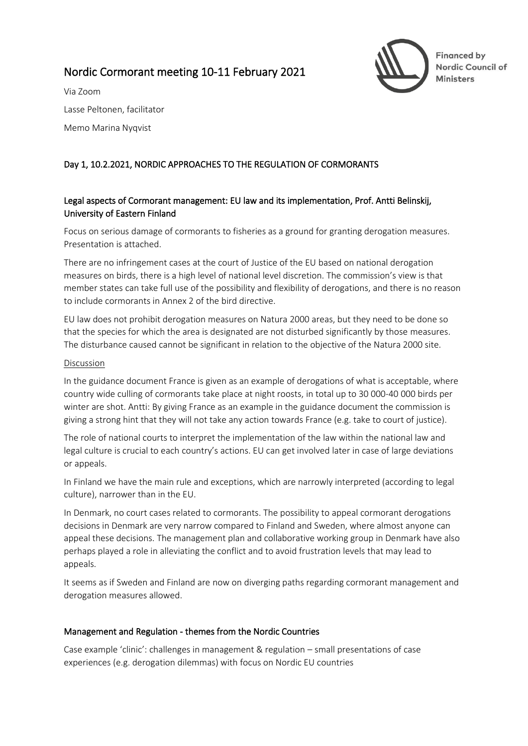# Nordic Cormorant meeting 10-11 February 2021



Via Zoom Lasse Peltonen, facilitator Memo Marina Nyqvist

# Day 1, 10.2.2021, NORDIC APPROACHES TO THE REGULATION OF CORMORANTS

# Legal aspects of Cormorant management: EU law and its implementation, Prof. Antti Belinskij, University of Eastern Finland

Focus on serious damage of cormorants to fisheries as a ground for granting derogation measures. Presentation is attached.

There are no infringement cases at the court of Justice of the EU based on national derogation measures on birds, there is a high level of national level discretion. The commission's view is that member states can take full use of the possibility and flexibility of derogations, and there is no reason to include cormorants in Annex 2 of the bird directive.

EU law does not prohibit derogation measures on Natura 2000 areas, but they need to be done so that the species for which the area is designated are not disturbed significantly by those measures. The disturbance caused cannot be significant in relation to the objective of the Natura 2000 site.

#### Discussion

In the guidance document France is given as an example of derogations of what is acceptable, where country wide culling of cormorants take place at night roosts, in total up to 30 000-40 000 birds per winter are shot. Antti: By giving France as an example in the guidance document the commission is giving a strong hint that they will not take any action towards France (e.g. take to court of justice).

The role of national courts to interpret the implementation of the law within the national law and legal culture is crucial to each country's actions. EU can get involved later in case of large deviations or appeals.

In Finland we have the main rule and exceptions, which are narrowly interpreted (according to legal culture), narrower than in the EU.

In Denmark, no court cases related to cormorants. The possibility to appeal cormorant derogations decisions in Denmark are very narrow compared to Finland and Sweden, where almost anyone can appeal these decisions. The management plan and collaborative working group in Denmark have also perhaps played a role in alleviating the conflict and to avoid frustration levels that may lead to appeals.

It seems as if Sweden and Finland are now on diverging paths regarding cormorant management and derogation measures allowed.

## Management and Regulation - themes from the Nordic Countries

Case example 'clinic': challenges in management & regulation – small presentations of case experiences (e.g. derogation dilemmas) with focus on Nordic EU countries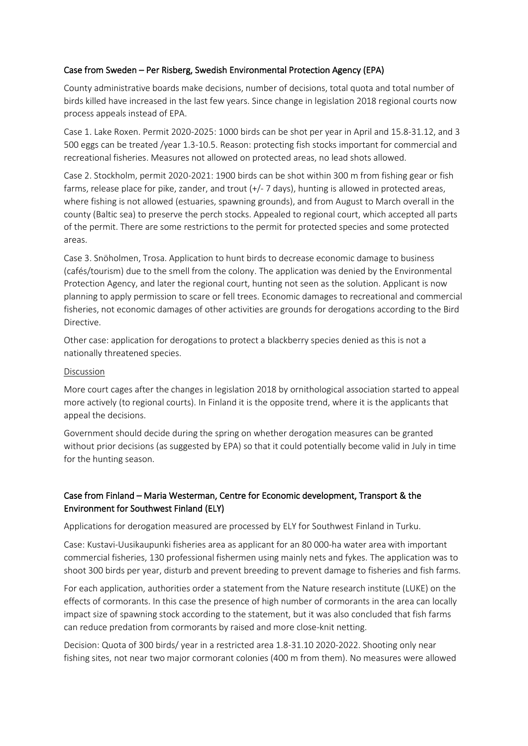## Case from Sweden – Per Risberg, Swedish Environmental Protection Agency (EPA)

County administrative boards make decisions, number of decisions, total quota and total number of birds killed have increased in the last few years. Since change in legislation 2018 regional courts now process appeals instead of EPA.

Case 1. Lake Roxen. Permit 2020-2025: 1000 birds can be shot per year in April and 15.8-31.12, and 3 500 eggs can be treated /year 1.3-10.5. Reason: protecting fish stocks important for commercial and recreational fisheries. Measures not allowed on protected areas, no lead shots allowed.

Case 2. Stockholm, permit 2020-2021: 1900 birds can be shot within 300 m from fishing gear or fish farms, release place for pike, zander, and trout (+/- 7 days), hunting is allowed in protected areas, where fishing is not allowed (estuaries, spawning grounds), and from August to March overall in the county (Baltic sea) to preserve the perch stocks. Appealed to regional court, which accepted all parts of the permit. There are some restrictions to the permit for protected species and some protected areas.

Case 3. Snöholmen, Trosa. Application to hunt birds to decrease economic damage to business (cafés/tourism) due to the smell from the colony. The application was denied by the Environmental Protection Agency, and later the regional court, hunting not seen as the solution. Applicant is now planning to apply permission to scare or fell trees. Economic damages to recreational and commercial fisheries, not economic damages of other activities are grounds for derogations according to the Bird Directive.

Other case: application for derogations to protect a blackberry species denied as this is not a nationally threatened species.

#### Discussion

More court cages after the changes in legislation 2018 by ornithological association started to appeal more actively (to regional courts). In Finland it is the opposite trend, where it is the applicants that appeal the decisions.

Government should decide during the spring on whether derogation measures can be granted without prior decisions (as suggested by EPA) so that it could potentially become valid in July in time for the hunting season.

# Case from Finland – Maria Westerman, Centre for Economic development, Transport & the Environment for Southwest Finland (ELY)

Applications for derogation measured are processed by ELY for Southwest Finland in Turku.

Case: Kustavi-Uusikaupunki fisheries area as applicant for an 80 000-ha water area with important commercial fisheries, 130 professional fishermen using mainly nets and fykes. The application was to shoot 300 birds per year, disturb and prevent breeding to prevent damage to fisheries and fish farms.

For each application, authorities order a statement from the Nature research institute (LUKE) on the effects of cormorants. In this case the presence of high number of cormorants in the area can locally impact size of spawning stock according to the statement, but it was also concluded that fish farms can reduce predation from cormorants by raised and more close-knit netting.

Decision: Quota of 300 birds/ year in a restricted area 1.8-31.10 2020-2022. Shooting only near fishing sites, not near two major cormorant colonies (400 m from them). No measures were allowed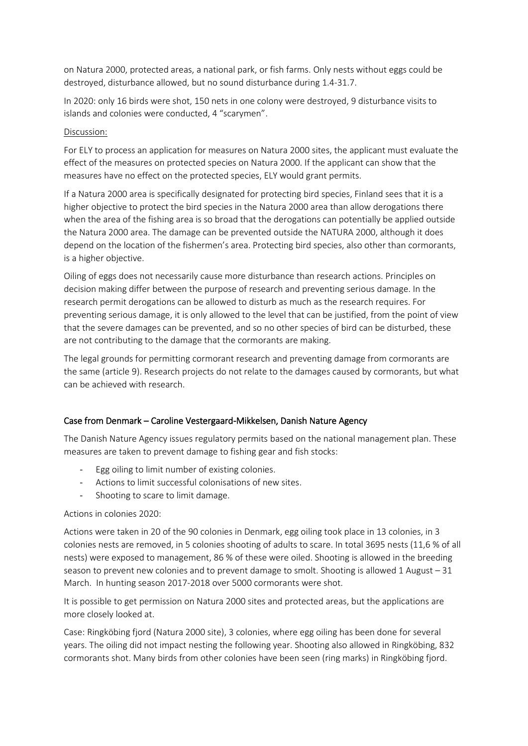on Natura 2000, protected areas, a national park, or fish farms. Only nests without eggs could be destroyed, disturbance allowed, but no sound disturbance during 1.4-31.7.

In 2020: only 16 birds were shot, 150 nets in one colony were destroyed, 9 disturbance visits to islands and colonies were conducted, 4 "scarymen".

#### Discussion:

For ELY to process an application for measures on Natura 2000 sites, the applicant must evaluate the effect of the measures on protected species on Natura 2000. If the applicant can show that the measures have no effect on the protected species, ELY would grant permits.

If a Natura 2000 area is specifically designated for protecting bird species, Finland sees that it is a higher objective to protect the bird species in the Natura 2000 area than allow derogations there when the area of the fishing area is so broad that the derogations can potentially be applied outside the Natura 2000 area. The damage can be prevented outside the NATURA 2000, although it does depend on the location of the fishermen's area. Protecting bird species, also other than cormorants, is a higher objective.

Oiling of eggs does not necessarily cause more disturbance than research actions. Principles on decision making differ between the purpose of research and preventing serious damage. In the research permit derogations can be allowed to disturb as much as the research requires. For preventing serious damage, it is only allowed to the level that can be justified, from the point of view that the severe damages can be prevented, and so no other species of bird can be disturbed, these are not contributing to the damage that the cormorants are making.

The legal grounds for permitting cormorant research and preventing damage from cormorants are the same (article 9). Research projects do not relate to the damages caused by cormorants, but what can be achieved with research.

## Case from Denmark – Caroline Vestergaard-Mikkelsen, Danish Nature Agency

The Danish Nature Agency issues regulatory permits based on the national management plan. These measures are taken to prevent damage to fishing gear and fish stocks:

- Egg oiling to limit number of existing colonies.
- Actions to limit successful colonisations of new sites.
- Shooting to scare to limit damage.

Actions in colonies 2020:

Actions were taken in 20 of the 90 colonies in Denmark, egg oiling took place in 13 colonies, in 3 colonies nests are removed, in 5 colonies shooting of adults to scare. In total 3695 nests (11,6 % of all nests) were exposed to management, 86 % of these were oiled. Shooting is allowed in the breeding season to prevent new colonies and to prevent damage to smolt. Shooting is allowed 1 August – 31 March. In hunting season 2017-2018 over 5000 cormorants were shot.

It is possible to get permission on Natura 2000 sites and protected areas, but the applications are more closely looked at.

Case: Ringköbing fjord (Natura 2000 site), 3 colonies, where egg oiling has been done for several years. The oiling did not impact nesting the following year. Shooting also allowed in Ringköbing, 832 cormorants shot. Many birds from other colonies have been seen (ring marks) in Ringköbing fjord.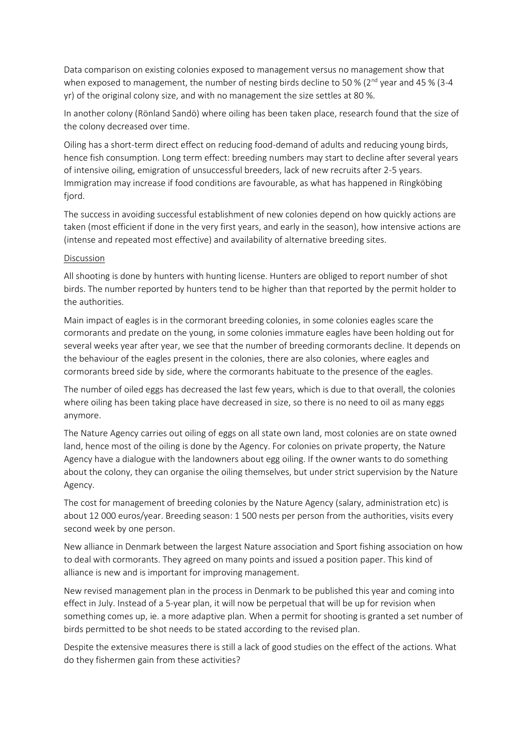Data comparison on existing colonies exposed to management versus no management show that when exposed to management, the number of nesting birds decline to 50 % ( $2^{nd}$  year and 45 % (3-4 yr) of the original colony size, and with no management the size settles at 80 %.

In another colony (Rönland Sandö) where oiling has been taken place, research found that the size of the colony decreased over time.

Oiling has a short-term direct effect on reducing food-demand of adults and reducing young birds, hence fish consumption. Long term effect: breeding numbers may start to decline after several years of intensive oiling, emigration of unsuccessful breeders, lack of new recruits after 2-5 years. Immigration may increase if food conditions are favourable, as what has happened in Ringköbing fjord.

The success in avoiding successful establishment of new colonies depend on how quickly actions are taken (most efficient if done in the very first years, and early in the season), how intensive actions are (intense and repeated most effective) and availability of alternative breeding sites.

#### Discussion

All shooting is done by hunters with hunting license. Hunters are obliged to report number of shot birds. The number reported by hunters tend to be higher than that reported by the permit holder to the authorities.

Main impact of eagles is in the cormorant breeding colonies, in some colonies eagles scare the cormorants and predate on the young, in some colonies immature eagles have been holding out for several weeks year after year, we see that the number of breeding cormorants decline. It depends on the behaviour of the eagles present in the colonies, there are also colonies, where eagles and cormorants breed side by side, where the cormorants habituate to the presence of the eagles.

The number of oiled eggs has decreased the last few years, which is due to that overall, the colonies where oiling has been taking place have decreased in size, so there is no need to oil as many eggs anymore.

The Nature Agency carries out oiling of eggs on all state own land, most colonies are on state owned land, hence most of the oiling is done by the Agency. For colonies on private property, the Nature Agency have a dialogue with the landowners about egg oiling. If the owner wants to do something about the colony, they can organise the oiling themselves, but under strict supervision by the Nature Agency.

The cost for management of breeding colonies by the Nature Agency (salary, administration etc) is about 12 000 euros/year. Breeding season: 1 500 nests per person from the authorities, visits every second week by one person.

New alliance in Denmark between the largest Nature association and Sport fishing association on how to deal with cormorants. They agreed on many points and issued a position paper. This kind of alliance is new and is important for improving management.

New revised management plan in the process in Denmark to be published this year and coming into effect in July. Instead of a 5-year plan, it will now be perpetual that will be up for revision when something comes up, ie. a more adaptive plan. When a permit for shooting is granted a set number of birds permitted to be shot needs to be stated according to the revised plan.

Despite the extensive measures there is still a lack of good studies on the effect of the actions. What do they fishermen gain from these activities?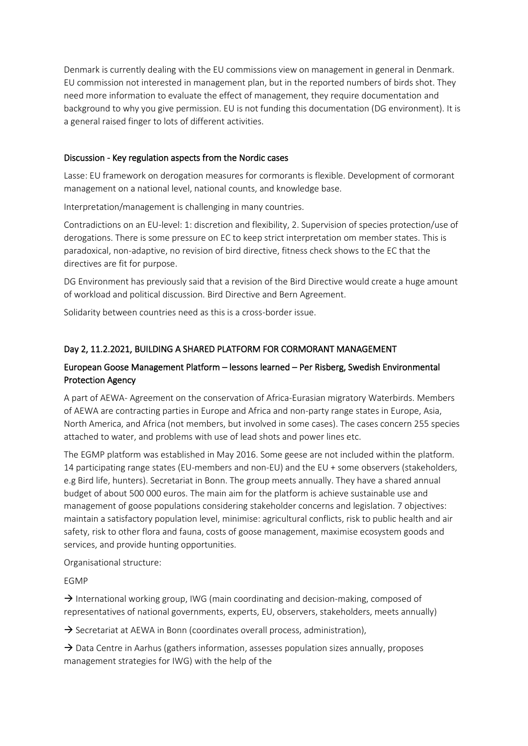Denmark is currently dealing with the EU commissions view on management in general in Denmark. EU commission not interested in management plan, but in the reported numbers of birds shot. They need more information to evaluate the effect of management, they require documentation and background to why you give permission. EU is not funding this documentation (DG environment). It is a general raised finger to lots of different activities.

### Discussion - Key regulation aspects from the Nordic cases

Lasse: EU framework on derogation measures for cormorants is flexible. Development of cormorant management on a national level, national counts, and knowledge base.

Interpretation/management is challenging in many countries.

Contradictions on an EU-level: 1: discretion and flexibility, 2. Supervision of species protection/use of derogations. There is some pressure on EC to keep strict interpretation om member states. This is paradoxical, non-adaptive, no revision of bird directive, fitness check shows to the EC that the directives are fit for purpose.

DG Environment has previously said that a revision of the Bird Directive would create a huge amount of workload and political discussion. Bird Directive and Bern Agreement.

Solidarity between countries need as this is a cross-border issue.

# Day 2, 11.2.2021, BUILDING A SHARED PLATFORM FOR CORMORANT MANAGEMENT

# European Goose Management Platform – lessons learned – Per Risberg, Swedish Environmental Protection Agency

A part of AEWA- Agreement on the conservation of Africa-Eurasian migratory Waterbirds. Members of AEWA are contracting parties in Europe and Africa and non-party range states in Europe, Asia, North America, and Africa (not members, but involved in some cases). The cases concern 255 species attached to water, and problems with use of lead shots and power lines etc.

The EGMP platform was established in May 2016. Some geese are not included within the platform. 14 participating range states (EU-members and non-EU) and the EU + some observers (stakeholders, e.g Bird life, hunters). Secretariat in Bonn. The group meets annually. They have a shared annual budget of about 500 000 euros. The main aim for the platform is achieve sustainable use and management of goose populations considering stakeholder concerns and legislation. 7 objectives: maintain a satisfactory population level, minimise: agricultural conflicts, risk to public health and air safety, risk to other flora and fauna, costs of goose management, maximise ecosystem goods and services, and provide hunting opportunities.

Organisational structure:

EGMP

 $\rightarrow$  International working group, IWG (main coordinating and decision-making, composed of representatives of national governments, experts, EU, observers, stakeholders, meets annually)

 $\rightarrow$  Secretariat at AEWA in Bonn (coordinates overall process, administration),

 $\rightarrow$  Data Centre in Aarhus (gathers information, assesses population sizes annually, proposes management strategies for IWG) with the help of the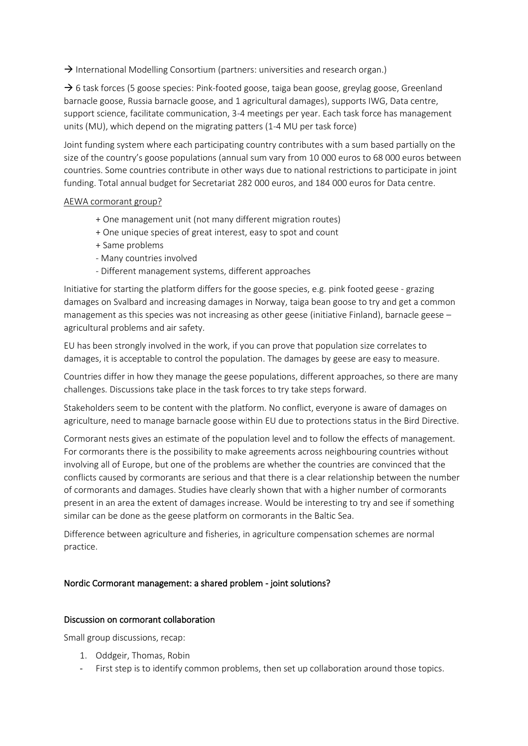$\rightarrow$  International Modelling Consortium (partners: universities and research organ.)

 $\rightarrow$  6 task forces (5 goose species: Pink-footed goose, taiga bean goose, greylag goose, Greenland barnacle goose, Russia barnacle goose, and 1 agricultural damages), supports IWG, Data centre, support science, facilitate communication, 3-4 meetings per year. Each task force has management units (MU), which depend on the migrating patters (1-4 MU per task force)

Joint funding system where each participating country contributes with a sum based partially on the size of the country's goose populations (annual sum vary from 10 000 euros to 68 000 euros between countries. Some countries contribute in other ways due to national restrictions to participate in joint funding. Total annual budget for Secretariat 282 000 euros, and 184 000 euros for Data centre.

#### AEWA cormorant group?

- + One management unit (not many different migration routes)
- + One unique species of great interest, easy to spot and count
- + Same problems
- Many countries involved
- Different management systems, different approaches

Initiative for starting the platform differs for the goose species, e.g. pink footed geese - grazing damages on Svalbard and increasing damages in Norway, taiga bean goose to try and get a common management as this species was not increasing as other geese (initiative Finland), barnacle geese agricultural problems and air safety.

EU has been strongly involved in the work, if you can prove that population size correlates to damages, it is acceptable to control the population. The damages by geese are easy to measure.

Countries differ in how they manage the geese populations, different approaches, so there are many challenges. Discussions take place in the task forces to try take steps forward.

Stakeholders seem to be content with the platform. No conflict, everyone is aware of damages on agriculture, need to manage barnacle goose within EU due to protections status in the Bird Directive.

Cormorant nests gives an estimate of the population level and to follow the effects of management. For cormorants there is the possibility to make agreements across neighbouring countries without involving all of Europe, but one of the problems are whether the countries are convinced that the conflicts caused by cormorants are serious and that there is a clear relationship between the number of cormorants and damages. Studies have clearly shown that with a higher number of cormorants present in an area the extent of damages increase. Would be interesting to try and see if something similar can be done as the geese platform on cormorants in the Baltic Sea.

Difference between agriculture and fisheries, in agriculture compensation schemes are normal practice.

#### Nordic Cormorant management: a shared problem - joint solutions?

#### Discussion on cormorant collaboration

Small group discussions, recap:

- 1. Oddgeir, Thomas, Robin
- First step is to identify common problems, then set up collaboration around those topics.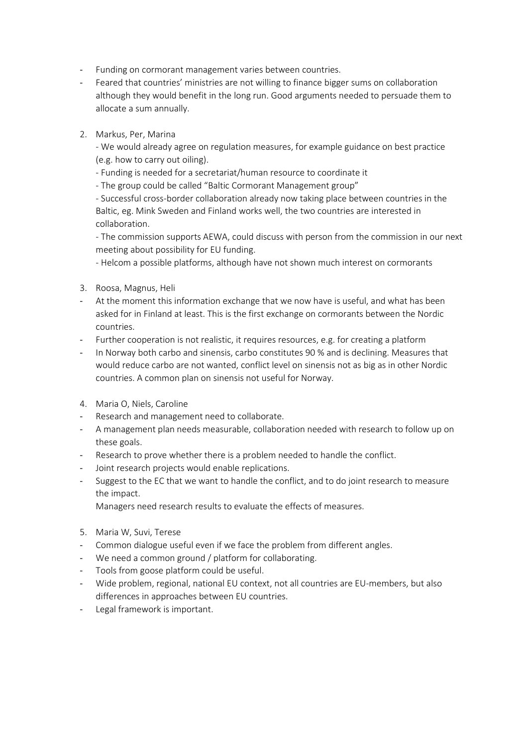- Funding on cormorant management varies between countries.
- Feared that countries' ministries are not willing to finance bigger sums on collaboration although they would benefit in the long run. Good arguments needed to persuade them to allocate a sum annually.
- 2. Markus, Per, Marina

- We would already agree on regulation measures, for example guidance on best practice (e.g. how to carry out oiling).

- Funding is needed for a secretariat/human resource to coordinate it

- The group could be called "Baltic Cormorant Management group"

- Successful cross-border collaboration already now taking place between countries in the Baltic, eg. Mink Sweden and Finland works well, the two countries are interested in collaboration.

- The commission supports AEWA, could discuss with person from the commission in our next meeting about possibility for EU funding.

- Helcom a possible platforms, although have not shown much interest on cormorants

- 3. Roosa, Magnus, Heli
- At the moment this information exchange that we now have is useful, and what has been asked for in Finland at least. This is the first exchange on cormorants between the Nordic countries.
- Further cooperation is not realistic, it requires resources, e.g. for creating a platform
- In Norway both carbo and sinensis, carbo constitutes 90 % and is declining. Measures that would reduce carbo are not wanted, conflict level on sinensis not as big as in other Nordic countries. A common plan on sinensis not useful for Norway.
- 4. Maria O, Niels, Caroline
- Research and management need to collaborate.
- A management plan needs measurable, collaboration needed with research to follow up on these goals.
- Research to prove whether there is a problem needed to handle the conflict.
- Joint research projects would enable replications.
- Suggest to the EC that we want to handle the conflict, and to do joint research to measure the impact.

Managers need research results to evaluate the effects of measures.

- 5. Maria W, Suvi, Terese
- Common dialogue useful even if we face the problem from different angles.
- We need a common ground / platform for collaborating.
- Tools from goose platform could be useful.
- Wide problem, regional, national EU context, not all countries are EU-members, but also differences in approaches between EU countries.
- Legal framework is important.